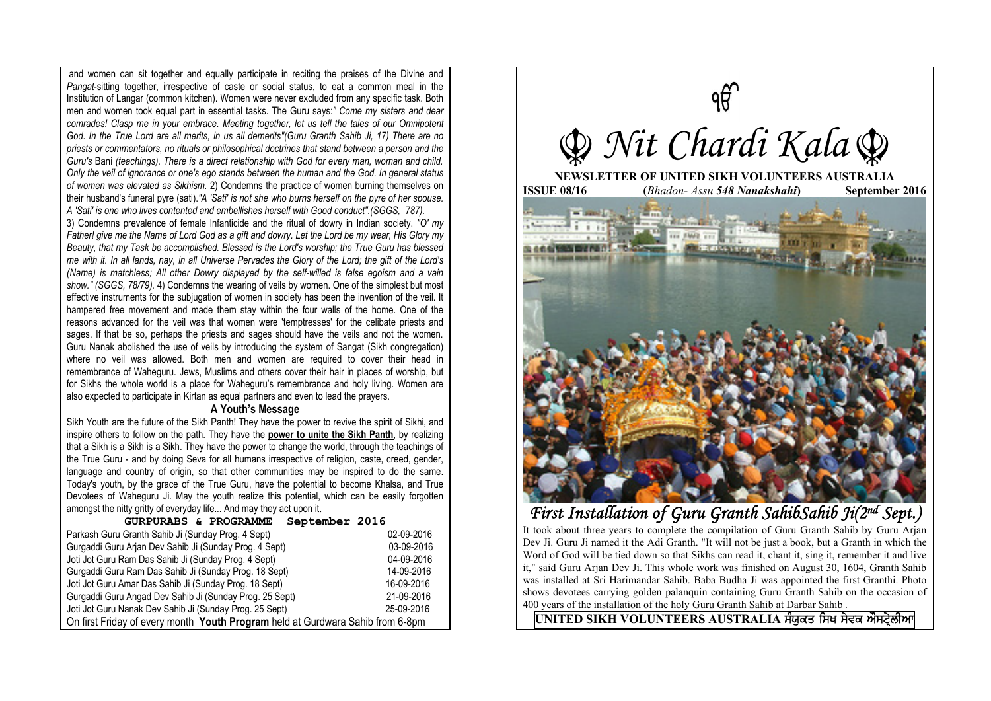and women can sit together and equally participate in reciting the praises of the Divine and *Pangat*-sitting together, irrespective of caste or social status, to eat a common meal in the Institution of Langar (common kitchen). Women were never excluded from any specific task. Both men and women took equal part in essential tasks. The Guru says:*" Come my sisters and dear comrades! Clasp me in your embrace. Meeting together, let us tell the tales of our Omnipotent God. In the True Lord are all merits, in us all demerits"(Guru Granth Sahib Ji, 17) There are no priests or commentators, no rituals or philosophical doctrines that stand between a person and the Guru's* Bani *(teachings). There is a direct relationship with God for every man, woman and child. Only the veil of ignorance or one's ego stands between the human and the God. In general status of women was elevated as Sikhism.* 2) Condemns the practice of women burning themselves on their husband's funeral pyre (sati).*"A 'Sati' is not she who burns herself on the pyre of her spouse. A 'Sati' is one who lives contented and embellishes herself with Good conduct".(SGGS, 787).* 

3) Condemns prevalence of female Infanticide and the ritual of dowry in Indian society. *"O' my Father! give me the Name of Lord God as a gift and dowry. Let the Lord be my wear, His Glory my Beauty, that my Task be accomplished. Blessed is the Lord's worship; the True Guru has blessed me with it. In all lands, nay, in all Universe Pervades the Glory of the Lord; the gift of the Lord's (Name) is matchless; All other Dowry displayed by the self-willed is false egoism and a vain show." (SGGS, 78/79).* 4) Condemns the wearing of veils by women. One of the simplest but most effective instruments for the subjugation of women in society has been the invention of the veil. It hampered free movement and made them stay within the four walls of the home. One of the reasons advanced for the veil was that women were 'temptresses' for the celibate priests and sages. If that be so, perhaps the priests and sages should have the veils and not the women. Guru Nanak abolished the use of veils by introducing the system of Sangat (Sikh congregation) where no veil was allowed. Both men and women are required to cover their head in remembrance of Waheguru. Jews, Muslims and others cover their hair in places of worship, but for Sikhs the whole world is a place for Waheguru's remembrance and holy living. Women are also expected to participate in Kirtan as equal partners and even to lead the prayers.

## **A Youth's Message**

Sikh Youth are the future of the Sikh Panth! They have the power to revive the spirit of Sikhi, and inspire others to follow on the path. They have the **power to unite the Sikh Panth**, by realizing that a Sikh is a Sikh is a Sikh. They have the power to change the world, through the teachings of the True Guru - and by doing Seva for all humans irrespective of religion, caste, creed, gender, language and country of origin, so that other communities may be inspired to do the same. Today's youth, by the grace of the True Guru, have the potential to become Khalsa, and True Devotees of Waheguru Ji. May the youth realize this potential, which can be easily forgotten amongst the nitty gritty of everyday life... And may they act upon it.

| September 2016<br>GURPURABS & PROGRAMME                                        |            |
|--------------------------------------------------------------------------------|------------|
| Parkash Guru Granth Sahib Ji (Sunday Prog. 4 Sept)                             | 02-09-2016 |
| Gurgaddi Guru Arian Dev Sahib Ji (Sunday Prog. 4 Sept)                         | 03-09-2016 |
| Joti Jot Guru Ram Das Sahib Ji (Sunday Prog. 4 Sept)                           | 04-09-2016 |
| Gurgaddi Guru Ram Das Sahib Ji (Sunday Prog. 18 Sept)                          | 14-09-2016 |
| Joti Jot Guru Amar Das Sahib Ji (Sunday Prog. 18 Sept)                         | 16-09-2016 |
| Gurgaddi Guru Angad Dev Sahib Ji (Sunday Prog. 25 Sept)                        | 21-09-2016 |
| Joti Jot Guru Nanak Dev Sahib Ji (Sunday Prog. 25 Sept)                        | 25-09-2016 |
| On first Friday of every month Youth Program held at Gurdwara Sahib from 6-8pm |            |



First Installation of Guru Granth SahibSahib Ji(2nd Sept.)

It took about three years to complete the compilation of Guru Granth Sahib by Guru Arjan Dev Ji. Guru Ji named it the Adi Granth. "It will not be just a book, but a Granth in which the Word of God will be tied down so that Sikhs can read it, chant it, sing it, remember it and live it," said Guru Arjan Dev Ji. This whole work was finished on August 30, 1604, Granth Sahib was installed at Sri Harimandar Sahib. Baba Budha Ji was appointed the first Granthi. Photo shows devotees carrying golden palanquin containing Guru Granth Sahib on the occasion of 400 years of the installation of the holy Guru Granth Sahib at Darbar Sahib .

UNITED SIKH VOLUNTEERS AUSTRALIA ਸੰਯੁਕਤ ਸਿਖ ਸੇਵਕ ਔਸਟ੍ਰੇਲੀਆ